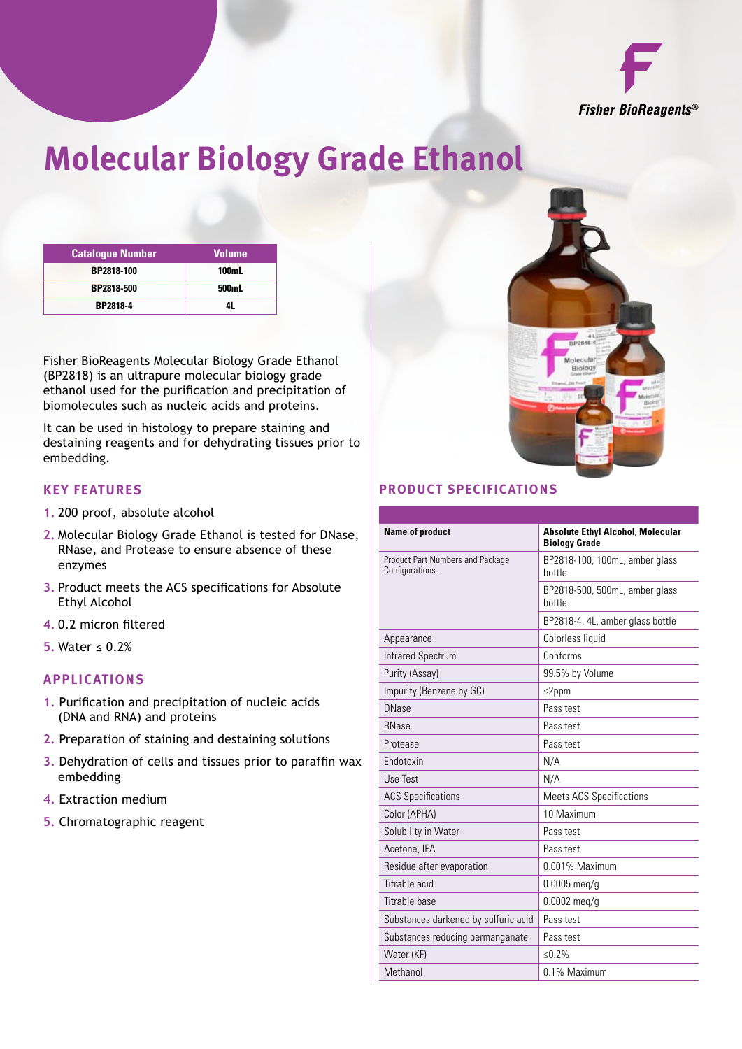

# **Molecular Biology Grade Ethanol**

| <b>Catalogue Number</b> | <b>Volume</b> |
|-------------------------|---------------|
| BP2818-100              | <b>100mL</b>  |
| BP2818-500              | 500mL         |
| <b>BP2818-4</b>         |               |

Fisher BioReagents Molecular Biology Grade Ethanol (BP2818) is an ultrapure molecular biology grade ethanol used for the purification and precipitation of biomolecules such as nucleic acids and proteins.

It can be used in histology to prepare staining and destaining reagents and for dehydrating tissues prior to embedding.

#### **Key Features**

- **1.** 200 proof, absolute alcohol
- **2.** Molecular Biology Grade Ethanol is tested for DNase, RNase, and Protease to ensure absence of these enzymes
- **3.** Product meets the ACS specifications for Absolute Ethyl Alcohol
- **4.** 0.2 micron filtered
- **5.** Water ≤ 0.2%

#### **Applications**

- **1.** Purification and precipitation of nucleic acids (DNA and RNA) and proteins
- **2.** Preparation of staining and destaining solutions
- **3.** Dehydration of cells and tissues prior to paraffin wax embedding
- **4.** Extraction medium
- **5.** Chromatographic reagent



### **Product Specifications**

| <b>Name of product</b>                              | <b>Absolute Ethyl Alcohol, Molecular</b><br><b>Biology Grade</b> |
|-----------------------------------------------------|------------------------------------------------------------------|
| Product Part Numbers and Package<br>Configurations. | BP2818-100, 100mL, amber glass<br>hottle                         |
|                                                     | BP2818-500, 500mL, amber glass<br>hottle                         |
|                                                     | BP2818-4, 4L, amber glass bottle                                 |
| Appearance                                          | Colorless liquid                                                 |
| <b>Infrared Spectrum</b>                            | Conforms                                                         |
| Purity (Assay)                                      | 99.5% by Volume                                                  |
| Impurity (Benzene by GC)                            | $\leq$ 2ppm                                                      |
| <b>DNase</b>                                        | Pass test                                                        |
| <b>RNase</b>                                        | Pass test                                                        |
| Protease                                            | Pass test                                                        |
| Endotoxin                                           | N/A                                                              |
| Use Test                                            | N/A                                                              |
| <b>ACS Specifications</b>                           | <b>Meets ACS Specifications</b>                                  |
| Color (APHA)                                        | 10 Maximum                                                       |
| Solubility in Water                                 | Pass test                                                        |
| Acetone, IPA                                        | Pass test                                                        |
| Residue after evaporation                           | 0.001% Maximum                                                   |
| Titrable acid                                       | $0.0005$ meg/g                                                   |
| Titrable base                                       | $0.0002$ meg/g                                                   |
| Substances darkened by sulfuric acid                | Pass test                                                        |
| Substances reducing permanganate                    | Pass test                                                        |
| Water (KF)                                          | ≤0.2%                                                            |
| Methanol                                            | 0.1% Maximum                                                     |